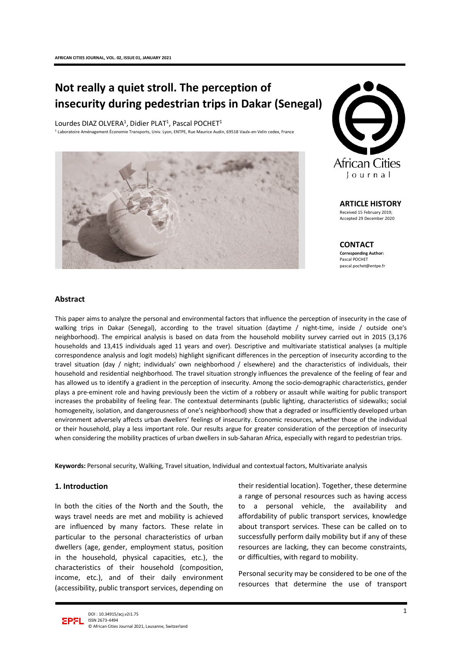# **Not really a quiet stroll. The perception of insecurity during pedestrian trips in Dakar (Senegal)**

Lourdes DIAZ OLVERA<sup>1</sup>, Didier PLAT<sup>1</sup>, Pascal POCHET<sup>1</sup> <sup>1</sup> Laboratoire Aménagement Économie Transports, Univ. Lyon, ENTPE, Rue Maurice Audin, 69518 Vaulx-en-Velin cedex, France





**ARTICLE HISTORY** Received 15 February 2019;

Accepted 29 December 2020

**CONTACT Corresponding Author:** Pascal POCHET pascal.pochet@entpe.fr

#### **Abstract**

This paper aims to analyze the personal and environmental factors that influence the perception of insecurity in the case of walking trips in Dakar (Senegal), according to the travel situation (daytime / night-time, inside / outside one's neighborhood). The empirical analysis is based on data from the household mobility survey carried out in 2015 (3,176 households and 13,415 individuals aged 11 years and over). Descriptive and multivariate statistical analyses (a multiple correspondence analysis and logit models) highlight significant differences in the perception of insecurity according to the travel situation (day / night; individuals' own neighborhood / elsewhere) and the characteristics of individuals, their household and residential neighborhood. The travel situation strongly influences the prevalence of the feeling of fear and has allowed us to identify a gradient in the perception of insecurity. Among the socio-demographic characteristics, gender plays a pre-eminent role and having previously been the victim of a robbery or assault while waiting for public transport increases the probability of feeling fear. The contextual determinants (public lighting, characteristics of sidewalks; social homogeneity, isolation, and dangerousness of one's neighborhood) show that a degraded or insufficiently developed urban environment adversely affects urban dwellers' feelings of insecurity. Economic resources, whether those of the individual or their household, play a less important role. Our results argue for greater consideration of the perception of insecurity when considering the mobility practices of urban dwellers in sub-Saharan Africa, especially with regard to pedestrian trips.

**Keywords:** Personal security, Walking, Travel situation, Individual and contextual factors, Multivariate analysis

#### **1. Introduction**

In both the cities of the North and the South, the ways travel needs are met and mobility is achieved are influenced by many factors. These relate in particular to the personal characteristics of urban dwellers (age, gender, employment status, position in the household, physical capacities, etc.), the characteristics of their household (composition, income, etc.), and of their daily environment (accessibility, public transport services, depending on

their residential location). Together, these determine a range of personal resources such as having access to a personal vehicle, the availability and affordability of public transport services, knowledge about transport services. These can be called on to successfully perform daily mobility but if any of these resources are lacking, they can become constraints, or difficulties, with regard to mobility.

Personal security may be considered to be one of the resources that determine the use of transport

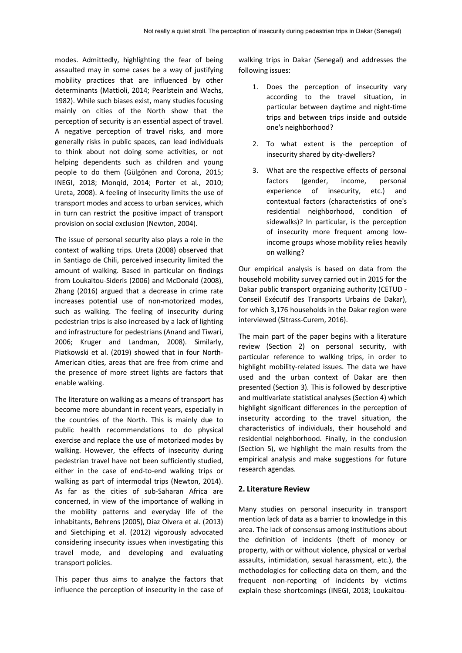modes. Admittedly, highlighting the fear of being assaulted may in some cases be a way of justifying mobility practices that are influenced by other determinants (Mattioli, 2014; Pearlstein and Wachs, 1982). While such biases exist, many studies focusing mainly on cities of the North show that the perception of security is an essential aspect of travel. A negative perception of travel risks, and more generally risks in public spaces, can lead individuals to think about not doing some activities, or not helping dependents such as children and young people to do them (Gülgönen and Corona, 2015; INEGI, 2018; Monqid, 2014; Porter et al., 2010; Ureta, 2008). A feeling of insecurity limits the use of transport modes and access to urban services, which in turn can restrict the positive impact of transport provision on social exclusion (Newton, 2004).

The issue of personal security also plays a role in the context of walking trips. Ureta (2008) observed that in Santiago de Chili, perceived insecurity limited the amount of walking. Based in particular on findings from Loukaitou-Sideris (2006) and McDonald (2008), Zhang (2016) argued that a decrease in crime rate increases potential use of non-motorized modes, such as walking. The feeling of insecurity during pedestrian trips is also increased by a lack of lighting and infrastructure for pedestrians (Anand and Tiwari, 2006; Kruger and Landman, 2008). Similarly, Piatkowski et al. (2019) showed that in four North-American cities, areas that are free from crime and the presence of more street lights are factors that enable walking.

The literature on walking as a means of transport has become more abundant in recent years, especially in the countries of the North. This is mainly due to public health recommendations to do physical exercise and replace the use of motorized modes by walking. However, the effects of insecurity during pedestrian travel have not been sufficiently studied, either in the case of end-to-end walking trips or walking as part of intermodal trips (Newton, 2014). As far as the cities of sub-Saharan Africa are concerned, in view of the importance of walking in the mobility patterns and everyday life of the inhabitants, Behrens (2005), Diaz Olvera et al. (2013) and Sietchiping et al. (2012) vigorously advocated considering insecurity issues when investigating this travel mode, and developing and evaluating transport policies.

This paper thus aims to analyze the factors that influence the perception of insecurity in the case of walking trips in Dakar (Senegal) and addresses the following issues:

- 1. Does the perception of insecurity vary according to the travel situation, in particular between daytime and night-time trips and between trips inside and outside one's neighborhood?
- 2. To what extent is the perception of insecurity shared by city-dwellers?
- 3. What are the respective effects of personal factors (gender, income, personal experience of insecurity, etc.) and contextual factors (characteristics of one's residential neighborhood, condition of sidewalks)? In particular, is the perception of insecurity more frequent among lowincome groups whose mobility relies heavily on walking?

Our empirical analysis is based on data from the household mobility survey carried out in 2015 for the Dakar public transport organizing authority (CETUD - Conseil Exécutif des Transports Urbains de Dakar), for which 3,176 households in the Dakar region were interviewed (Sitrass-Curem, 2016).

The main part of the paper begins with a literature review (Section 2) on personal security, with particular reference to walking trips, in order to highlight mobility-related issues. The data we have used and the urban context of Dakar are then presented (Section 3). This is followed by descriptive and multivariate statistical analyses (Section 4) which highlight significant differences in the perception of insecurity according to the travel situation, the characteristics of individuals, their household and residential neighborhood. Finally, in the conclusion (Section 5), we highlight the main results from the empirical analysis and make suggestions for future research agendas.

## **2. Literature Review**

Many studies on personal insecurity in transport mention lack of data as a barrier to knowledge in this area. The lack of consensus among institutions about the definition of incidents (theft of money or property, with or without violence, physical or verbal assaults, intimidation, sexual harassment, etc.), the methodologies for collecting data on them, and the frequent non-reporting of incidents by victims explain these shortcomings (INEGI, 2018; Loukaitou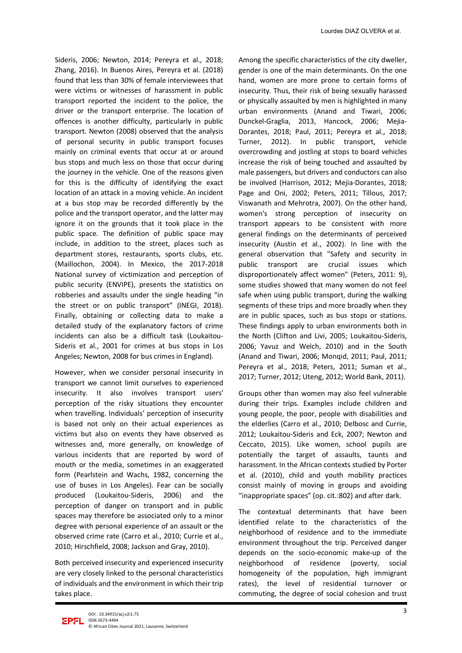Sideris, 2006; Newton, 2014; Pereyra et al., 2018; Zhang, 2016). In Buenos Aires, Pereyra et al. (2018) found that less than 30% of female interviewees that were victims or witnesses of harassment in public transport reported the incident to the police, the driver or the transport enterprise. The location of offences is another difficulty, particularly in public transport. Newton (2008) observed that the analysis of personal security in public transport focuses mainly on criminal events that occur at or around bus stops and much less on those that occur during the journey in the vehicle. One of the reasons given for this is the difficulty of identifying the exact location of an attack in a moving vehicle. An incident at a bus stop may be recorded differently by the police and the transport operator, and the latter may ignore it on the grounds that it took place in the public space. The definition of public space may include, in addition to the street, places such as department stores, restaurants, sports clubs, etc. (Maillochon, 2004). In Mexico, the 2017-2018 National survey of victimization and perception of public security (ENVIPE), presents the statistics on robberies and assaults under the single heading "in the street or on public transport" (INEGI, 2018). Finally, obtaining or collecting data to make a detailed study of the explanatory factors of crime incidents can also be a difficult task (Loukaitou-Sideris et al., 2001 for crimes at bus stops in Los Angeles; Newton, 2008 for bus crimes in England).

However, when we consider personal insecurity in transport we cannot limit ourselves to experienced insecurity. It also involves transport users' perception of the risky situations they encounter when travelling. Individuals' perception of insecurity is based not only on their actual experiences as victims but also on events they have observed as witnesses and, more generally, on knowledge of various incidents that are reported by word of mouth or the media, sometimes in an exaggerated form (Pearlstein and Wachs, 1982, concerning the use of buses in Los Angeles). Fear can be socially produced (Loukaitou-Sideris, 2006) and the perception of danger on transport and in public spaces may therefore be associated only to a minor degree with personal experience of an assault or the observed crime rate (Carro et al., 2010; Currie et al., 2010; Hirschfield, 2008; Jackson and Gray, 2010).

Both perceived insecurity and experienced insecurity are very closely linked to the personal characteristics of individuals and the environment in which their trip takes place.

Among the specific characteristics of the city dweller, gender is one of the main determinants. On the one hand, women are more prone to certain forms of insecurity. Thus, their risk of being sexually harassed or physically assaulted by men is highlighted in many urban environments (Anand and Tiwari, 2006; Dunckel-Graglia, 2013, Hancock, 2006; Mejia-Dorantes, 2018; Paul, 2011; Pereyra et al., 2018; Turner, 2012). In public transport, vehicle overcrowding and jostling at stops to board vehicles increase the risk of being touched and assaulted by male passengers, but drivers and conductors can also be involved (Harrison, 2012; Mejia-Dorantes, 2018; Page and Oni, 2002; Peters, 2011; Tillous, 2017; Viswanath and Mehrotra, 2007). On the other hand, women's strong perception of insecurity on transport appears to be consistent with more general findings on the determinants of perceived insecurity (Austin et al., 2002). In line with the general observation that "Safety and security in public transport are crucial issues which disproportionately affect women" (Peters, 2011: 9), some studies showed that many women do not feel safe when using public transport, during the walking segments of these trips and more broadly when they are in public spaces, such as bus stops or stations. These findings apply to urban environments both in the North (Clifton and Livi, 2005; Loukaitou-Sideris, 2006; Yavuz and Welch, 2010) and in the South (Anand and Tiwari, 2006; Monqid, 2011; Paul, 2011; Pereyra et al., 2018; Peters, 2011; Suman et al., 2017; Turner, 2012; Uteng, 2012; World Bank, 2011).

Groups other than women may also feel vulnerable during their trips. Examples include children and young people, the poor, people with disabilities and the elderlies (Carro et al., 2010; Delbosc and Currie, 2012; Loukaitou-Sideris and Eck, 2007; Newton and Ceccato, 2015). Like women, school pupils are potentially the target of assaults, taunts and harassment. In the African contexts studied by Porter et al. (2010), child and youth mobility practices consist mainly of moving in groups and avoiding "inappropriate spaces" (op. cit.:802) and after dark.

The contextual determinants that have been identified relate to the characteristics of the neighborhood of residence and to the immediate environment throughout the trip. Perceived danger depends on the socio-economic make-up of the neighborhood of residence (poverty, social homogeneity of the population, high immigrant rates), the level of residential turnover or commuting, the degree of social cohesion and trust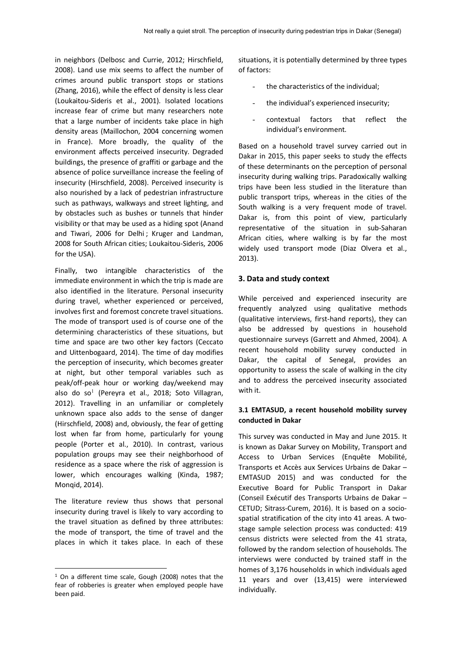in neighbors (Delbosc and Currie, 2012; Hirschfield, 2008). Land use mix seems to affect the number of crimes around public transport stops or stations (Zhang, 2016), while the effect of density is less clear (Loukaitou-Sideris et al., 2001). Isolated locations increase fear of crime but many researchers note that a large number of incidents take place in high density areas (Maillochon, 2004 concerning women in France). More broadly, the quality of the environment affects perceived insecurity. Degraded buildings, the presence of graffiti or garbage and the absence of police surveillance increase the feeling of insecurity (Hirschfield, 2008). Perceived insecurity is also nourished by a lack of pedestrian infrastructure such as pathways, walkways and street lighting, and by obstacles such as bushes or tunnels that hinder visibility or that may be used as a hiding spot (Anand and Tiwari, 2006 for Delhi ; Kruger and Landman, 2008 for South African cities; Loukaitou-Sideris, 2006 for the USA).

Finally, two intangible characteristics of the immediate environment in which the trip is made are also identified in the literature. Personal insecurity during travel, whether experienced or perceived, involves first and foremost concrete travel situations. The mode of transport used is of course one of the determining characteristics of these situations, but time and space are two other key factors (Ceccato and Uittenbogaard, 2014). The time of day modifies the perception of insecurity, which becomes greater at night, but other temporal variables such as peak/off-peak hour or working day/weekend may also do so<sup>[1](#page-3-0)</sup> (Pereyra et al., 2018; Soto Villagran, 2012). Travelling in an unfamiliar or completely unknown space also adds to the sense of danger (Hirschfield, 2008) and, obviously, the fear of getting lost when far from home, particularly for young people (Porter et al., 2010). In contrast, various population groups may see their neighborhood of residence as a space where the risk of aggression is lower, which encourages walking (Kinda, 1987; Monqid, 2014).

The literature review thus shows that personal insecurity during travel is likely to vary according to the travel situation as defined by three attributes: the mode of transport, the time of travel and the places in which it takes place. In each of these

situations, it is potentially determined by three types of factors:

- the characteristics of the individual;
- the individual's experienced insecurity;
- contextual factors that reflect the individual's environment.

Based on a household travel survey carried out in Dakar in 2015, this paper seeks to study the effects of these determinants on the perception of personal insecurity during walking trips. Paradoxically walking trips have been less studied in the literature than public transport trips, whereas in the cities of the South walking is a very frequent mode of travel. Dakar is, from this point of view, particularly representative of the situation in sub-Saharan African cities, where walking is by far the most widely used transport mode (Diaz Olvera et al., 2013).

## **3. Data and study context**

While perceived and experienced insecurity are frequently analyzed using qualitative methods (qualitative interviews, first-hand reports), they can also be addressed by questions in household questionnaire surveys (Garrett and Ahmed, 2004). A recent household mobility survey conducted in Dakar, the capital of Senegal, provides an opportunity to assess the scale of walking in the city and to address the perceived insecurity associated with it.

## **3.1 EMTASUD, a recent household mobility survey conducted in Dakar**

This survey was conducted in May and June 2015. It is known as Dakar Survey on Mobility, Transport and Access to Urban Services (Enquête Mobilité, Transports et Accès aux Services Urbains de Dakar – EMTASUD 2015) and was conducted for the Executive Board for Public Transport in Dakar (Conseil Exécutif des Transports Urbains de Dakar – CETUD; Sitrass-Curem, 2016). It is based on a sociospatial stratification of the city into 41 areas. A twostage sample selection process was conducted: 419 census districts were selected from the 41 strata, followed by the random selection of households. The interviews were conducted by trained staff in the homes of 3,176 households in which individuals aged 11 years and over (13,415) were interviewed individually.

<span id="page-3-0"></span><sup>&</sup>lt;sup>1</sup> On a different time scale, Gough (2008) notes that the fear of robberies is greater when employed people have been paid.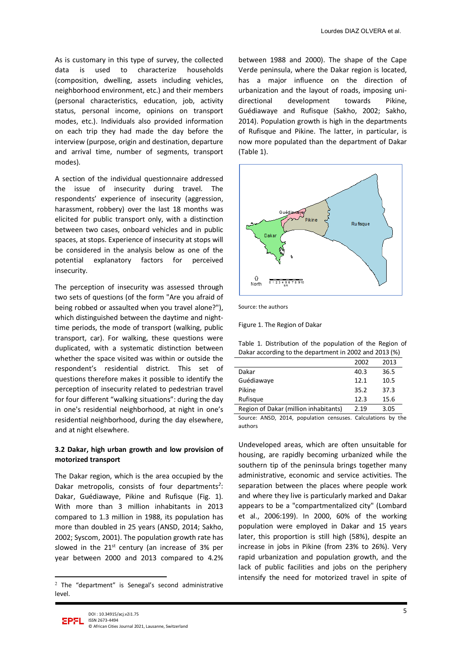As is customary in this type of survey, the collected data is used to characterize households (composition, dwelling, assets including vehicles, neighborhood environment, etc.) and their members (personal characteristics, education, job, activity status, personal income, opinions on transport modes, etc.). Individuals also provided information on each trip they had made the day before the interview (purpose, origin and destination, departure and arrival time, number of segments, transport modes).

A section of the individual questionnaire addressed the issue of insecurity during travel. The respondents' experience of insecurity (aggression, harassment, robbery) over the last 18 months was elicited for public transport only, with a distinction between two cases, onboard vehicles and in public spaces, at stops. Experience of insecurity at stops will be considered in the analysis below as one of the potential explanatory factors for perceived insecurity.

The perception of insecurity was assessed through two sets of questions (of the form "Are you afraid of being robbed or assaulted when you travel alone?"), which distinguished between the daytime and nighttime periods, the mode of transport (walking, public transport, car). For walking, these questions were duplicated, with a systematic distinction between whether the space visited was within or outside the respondent's residential district. This set of questions therefore makes it possible to identify the perception of insecurity related to pedestrian travel for four different "walking situations": during the day in one's residential neighborhood, at night in one's residential neighborhood, during the day elsewhere, and at night elsewhere.

## **3.2 Dakar, high urban growth and low provision of motorized transport**

The Dakar region, which is the area occupied by the Dakar metropolis, consists of four departments*[2](#page-4-0)* : Dakar, Guédiawaye, Pikine and Rufisque (Fig. 1). With more than 3 million inhabitants in 2013 compared to 1.3 million in 1988, its population has more than doubled in 25 years (ANSD, 2014; Sakho, 2002; Syscom, 2001). The population growth rate has slowed in the  $21^{st}$  century (an increase of 3% per year between 2000 and 2013 compared to 4.2%

between 1988 and 2000). The shape of the Cape Verde peninsula, where the Dakar region is located, has a major influence on the direction of urbanization and the layout of roads, imposing unidirectional development towards Pikine, Guédiawaye and Rufisque (Sakho, 2002; Sakho, 2014). Population growth is high in the departments of Rufisque and Pikine. The latter, in particular, is now more populated than the department of Dakar (Table 1).



Source: the authors

Figure 1. The Region of Dakar

Table 1. Distribution of the population of the Region of Dakar according to the department in 2002 and 2013 (%)

|                                       | 2002 | 2013 |
|---------------------------------------|------|------|
| Dakar                                 | 40.3 | 36.5 |
| Guédiawaye                            | 12.1 | 10.5 |
| Pikine                                | 35.2 | 37.3 |
| Rufisque                              | 12.3 | 15.6 |
| Region of Dakar (million inhabitants) | 2.19 | 3.05 |

Source: ANSD, 2014, population censuses. Calculations by the authors

Undeveloped areas, which are often unsuitable for housing, are rapidly becoming urbanized while the southern tip of the peninsula brings together many administrative, economic and service activities. The separation between the places where people work and where they live is particularly marked and Dakar appears to be a "compartmentalized city" (Lombard et al., 2006:199). In 2000, 60% of the working population were employed in Dakar and 15 years later, this proportion is still high (58%), despite an increase in jobs in Pikine (from 23% to 26%). Very rapid urbanization and population growth, and the lack of public facilities and jobs on the periphery intensify the need for motorized travel in spite of



 $\overline{a}$ 

<span id="page-4-0"></span><sup>2</sup> The "department" is Senegal's second administrative level.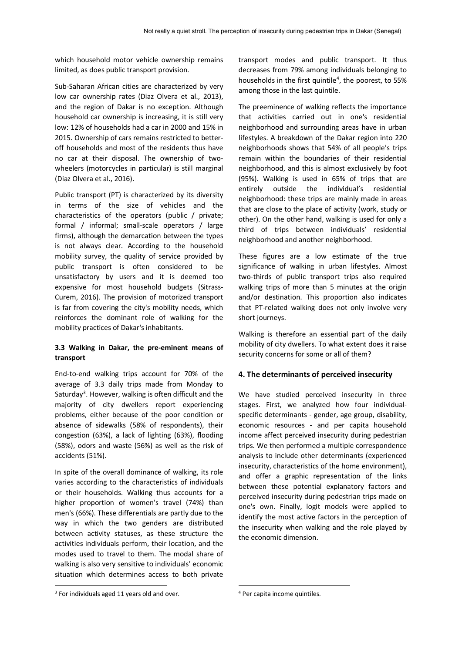which household motor vehicle ownership remains limited, as does public transport provision.

Sub-Saharan African cities are characterized by very low car ownership rates (Diaz Olvera et al., 2013), and the region of Dakar is no exception. Although household car ownership is increasing, it is still very low: 12% of households had a car in 2000 and 15% in 2015. Ownership of cars remains restricted to betteroff households and most of the residents thus have no car at their disposal. The ownership of twowheelers (motorcycles in particular) is still marginal (Diaz Olvera et al., 2016).

Public transport (PT) is characterized by its diversity in terms of the size of vehicles and the characteristics of the operators (public / private; formal / informal; small-scale operators / large firms), although the demarcation between the types is not always clear. According to the household mobility survey, the quality of service provided by public transport is often considered to be unsatisfactory by users and it is deemed too expensive for most household budgets (Sitrass-Curem, 2016). The provision of motorized transport is far from covering the city's mobility needs, which reinforces the dominant role of walking for the mobility practices of Dakar's inhabitants.

### **3.3 Walking in Dakar, the pre-eminent means of transport**

End-to-end walking trips account for 70% of the average of 3.3 daily trips made from Monday to Saturday<sup>3</sup>. However, walking is often difficult and the majority of city dwellers report experiencing problems, either because of the poor condition or absence of sidewalks (58% of respondents), their congestion (63%), a lack of lighting (63%), flooding (58%), odors and waste (56%) as well as the risk of accidents (51%).

In spite of the overall dominance of walking, its role varies according to the characteristics of individuals or their households. Walking thus accounts for a higher proportion of women's travel (74%) than men's (66%). These differentials are partly due to the way in which the two genders are distributed between activity statuses, as these structure the activities individuals perform, their location, and the modes used to travel to them. The modal share of walking is also very sensitive to individuals' economic situation which determines access to both private

transport modes and public transport. It thus decreases from 79% among individuals belonging to households in the first quintile<sup>[4](#page-5-0)</sup>, the poorest, to 55% among those in the last quintile.

The preeminence of walking reflects the importance that activities carried out in one's residential neighborhood and surrounding areas have in urban lifestyles. A breakdown of the Dakar region into 220 neighborhoods shows that 54% of all people's trips remain within the boundaries of their residential neighborhood, and this is almost exclusively by foot (95%). Walking is used in 65% of trips that are entirely outside the individual's residential neighborhood: these trips are mainly made in areas that are close to the place of activity (work, study or other). On the other hand, walking is used for only a third of trips between individuals' residential neighborhood and another neighborhood.

These figures are a low estimate of the true significance of walking in urban lifestyles. Almost two-thirds of public transport trips also required walking trips of more than 5 minutes at the origin and/or destination. This proportion also indicates that PT-related walking does not only involve very short journeys.

Walking is therefore an essential part of the daily mobility of city dwellers. To what extent does it raise security concerns for some or all of them?

## **4. The determinants of perceived insecurity**

We have studied perceived insecurity in three stages. First, we analyzed how four individualspecific determinants - gender, age group, disability, economic resources - and per capita household income affect perceived insecurity during pedestrian trips. We then performed a multiple correspondence analysis to include other determinants (experienced insecurity, characteristics of the home environment), and offer a graphic representation of the links between these potential explanatory factors and perceived insecurity during pedestrian trips made on one's own. Finally, logit models were applied to identify the most active factors in the perception of the insecurity when walking and the role played by the economic dimension.

 $\overline{a}$ 

1

<span id="page-5-0"></span> $3$  For individuals aged 11 years old and over.

<sup>4</sup> Per capita income quintiles.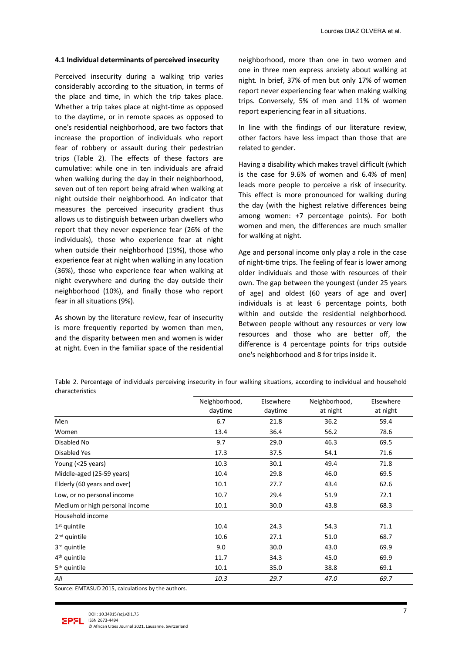#### **4.1 Individual determinants of perceived insecurity**

Perceived insecurity during a walking trip varies considerably according to the situation, in terms of the place and time, in which the trip takes place. Whether a trip takes place at night-time as opposed to the daytime, or in remote spaces as opposed to one's residential neighborhood, are two factors that increase the proportion of individuals who report fear of robbery or assault during their pedestrian trips (Table 2). The effects of these factors are cumulative: while one in ten individuals are afraid when walking during the day in their neighborhood, seven out of ten report being afraid when walking at night outside their neighborhood. An indicator that measures the perceived insecurity gradient thus allows us to distinguish between urban dwellers who report that they never experience fear (26% of the individuals), those who experience fear at night when outside their neighborhood (19%), those who experience fear at night when walking in any location (36%), those who experience fear when walking at night everywhere and during the day outside their neighborhood (10%), and finally those who report fear in all situations (9%).

As shown by the literature review, fear of insecurity is more frequently reported by women than men, and the disparity between men and women is wider at night. Even in the familiar space of the residential neighborhood, more than one in two women and one in three men express anxiety about walking at night. In brief, 37% of men but only 17% of women report never experiencing fear when making walking trips. Conversely, 5% of men and 11% of women report experiencing fear in all situations.

In line with the findings of our literature review, other factors have less impact than those that are related to gender.

Having a disability which makes travel difficult (which is the case for 9.6% of women and 6.4% of men) leads more people to perceive a risk of insecurity. This effect is more pronounced for walking during the day (with the highest relative differences being among women: +7 percentage points). For both women and men, the differences are much smaller for walking at night.

Age and personal income only play a role in the case of night-time trips. The feeling of fear is lower among older individuals and those with resources of their own. The gap between the youngest (under 25 years of age) and oldest (60 years of age and over) individuals is at least 6 percentage points, both within and outside the residential neighborhood. Between people without any resources or very low resources and those who are better off, the difference is 4 percentage points for trips outside one's neighborhood and 8 for trips inside it.

Table 2. Percentage of individuals perceiving insecurity in four walking situations, according to individual and household characteristics

|                                | Neighborhood,<br>daytime | Elsewhere<br>daytime | Neighborhood,<br>at night | Elsewhere<br>at night |
|--------------------------------|--------------------------|----------------------|---------------------------|-----------------------|
|                                |                          |                      |                           |                       |
| Men                            | 6.7                      | 21.8                 | 36.2                      | 59.4                  |
| Women                          | 13.4                     | 36.4                 | 56.2                      | 78.6                  |
| Disabled No                    | 9.7                      | 29.0                 | 46.3                      | 69.5                  |
| Disabled Yes                   | 17.3                     | 37.5                 | 54.1                      | 71.6                  |
| Young (<25 years)              | 10.3                     | 30.1                 | 49.4                      | 71.8                  |
| Middle-aged (25-59 years)      | 10.4                     | 29.8                 | 46.0                      | 69.5                  |
| Elderly (60 years and over)    | 10.1                     | 27.7                 | 43.4                      | 62.6                  |
| Low, or no personal income     | 10.7                     | 29.4                 | 51.9                      | 72.1                  |
| Medium or high personal income | 10.1                     | 30.0                 | 43.8                      | 68.3                  |
| Household income               |                          |                      |                           |                       |
| $1st$ quintile                 | 10.4                     | 24.3                 | 54.3                      | 71.1                  |
| 2 <sup>nd</sup> quintile       | 10.6                     | 27.1                 | 51.0                      | 68.7                  |
| 3rd quintile                   | 9.0                      | 30.0                 | 43.0                      | 69.9                  |
| 4 <sup>th</sup> quintile       | 11.7                     | 34.3                 | 45.0                      | 69.9                  |
| 5 <sup>th</sup> quintile       | 10.1                     | 35.0                 | 38.8                      | 69.1                  |
| All                            | 10.3                     | 29.7                 | 47.0                      | 69.7                  |

Source: EMTASUD 2015, calculations by the authors.

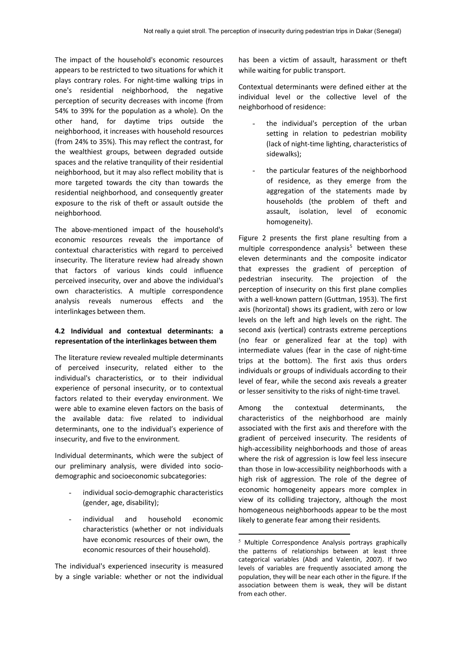The impact of the household's economic resources appears to be restricted to two situations for which it plays contrary roles. For night-time walking trips in one's residential neighborhood, the negative perception of security decreases with income (from 54% to 39% for the population as a whole). On the other hand, for daytime trips outside the neighborhood, it increases with household resources (from 24% to 35%). This may reflect the contrast, for the wealthiest groups, between degraded outside spaces and the relative tranquility of their residential neighborhood, but it may also reflect mobility that is more targeted towards the city than towards the residential neighborhood, and consequently greater exposure to the risk of theft or assault outside the neighborhood.

The above-mentioned impact of the household's economic resources reveals the importance of contextual characteristics with regard to perceived insecurity. The literature review had already shown that factors of various kinds could influence perceived insecurity, over and above the individual's own characteristics. A multiple correspondence analysis reveals numerous effects and the interlinkages between them.

## **4.2 Individual and contextual determinants: a representation of the interlinkages between them**

The literature review revealed multiple determinants of perceived insecurity, related either to the individual's characteristics, or to their individual experience of personal insecurity, or to contextual factors related to their everyday environment. We were able to examine eleven factors on the basis of the available data: five related to individual determinants, one to the individual's experience of insecurity, and five to the environment.

Individual determinants, which were the subject of our preliminary analysis, were divided into sociodemographic and socioeconomic subcategories:

- individual socio-demographic characteristics (gender, age, disability);
- individual and household economic characteristics (whether or not individuals have economic resources of their own, the economic resources of their household).

<span id="page-7-0"></span>The individual's experienced insecurity is measured by a single variable: whether or not the individual

has been a victim of assault, harassment or theft while waiting for public transport.

Contextual determinants were defined either at the individual level or the collective level of the neighborhood of residence:

- the individual's perception of the urban setting in relation to pedestrian mobility (lack of night-time lighting, characteristics of sidewalks);
- the particular features of the neighborhood of residence, as they emerge from the aggregation of the statements made by households (the problem of theft and assault, isolation, level of economic homogeneity).

Figure 2 presents the first plane resulting from a multiple correspondence analysis<sup>[5](#page-7-0)</sup> between these eleven determinants and the composite indicator that expresses the gradient of perception of pedestrian insecurity. The projection of the perception of insecurity on this first plane complies with a well-known pattern (Guttman, 1953). The first axis (horizontal) shows its gradient, with zero or low levels on the left and high levels on the right. The second axis (vertical) contrasts extreme perceptions (no fear or generalized fear at the top) with intermediate values (fear in the case of night-time trips at the bottom). The first axis thus orders individuals or groups of individuals according to their level of fear, while the second axis reveals a greater or lesser sensitivity to the risks of night-time travel.

Among the contextual determinants, the characteristics of the neighborhood are mainly associated with the first axis and therefore with the gradient of perceived insecurity. The residents of high-accessibility neighborhoods and those of areas where the risk of aggression is low feel less insecure than those in low-accessibility neighborhoods with a high risk of aggression. The role of the degree of economic homogeneity appears more complex in view of its colliding trajectory, although the most homogeneous neighborhoods appear to be the most likely to generate fear among their residents.

1

 $5$  Multiple Correspondence Analysis portrays graphically the patterns of relationships between at least three categorical variables (Abdi and Valentin, 2007). If two levels of variables are frequently associated among the population, they will be near each other in the figure. If the association between them is weak, they will be distant from each other.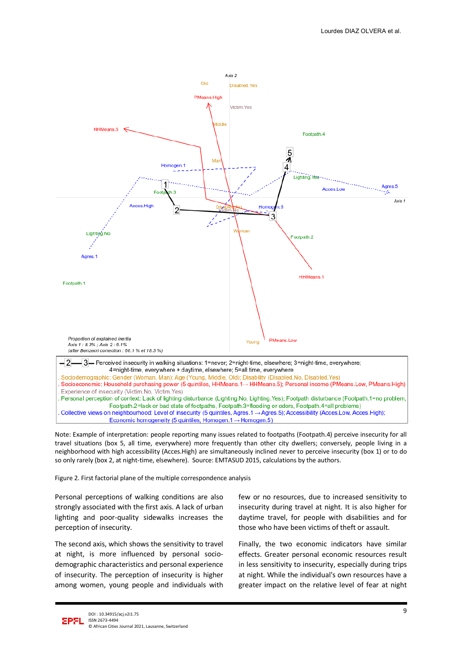

Note: Example of interpretation: people reporting many issues related to footpaths (Footpath.4) perceive insecurity for all travel situations (box 5, all time, everywhere) more frequently than other city dwellers; conversely, people living in a neighborhood with high accessibility (Acces.High) are simultaneously inclined never to perceive insecurity (box 1) or to do so only rarely (box 2, at night-time, elsewhere). Source: EMTASUD 2015, calculations by the authors.

Figure 2. First factorial plane of the multiple correspondence analysis

Personal perceptions of walking conditions are also strongly associated with the first axis. A lack of urban lighting and poor-quality sidewalks increases the perception of insecurity.

The second axis, which shows the sensitivity to travel at night, is more influenced by personal sociodemographic characteristics and personal experience of insecurity. The perception of insecurity is higher among women, young people and individuals with few or no resources, due to increased sensitivity to insecurity during travel at night. It is also higher for daytime travel, for people with disabilities and for those who have been victims of theft or assault.

Finally, the two economic indicators have similar effects. Greater personal economic resources result in less sensitivity to insecurity, especially during trips at night. While the individual's own resources have a greater impact on the relative level of fear at night

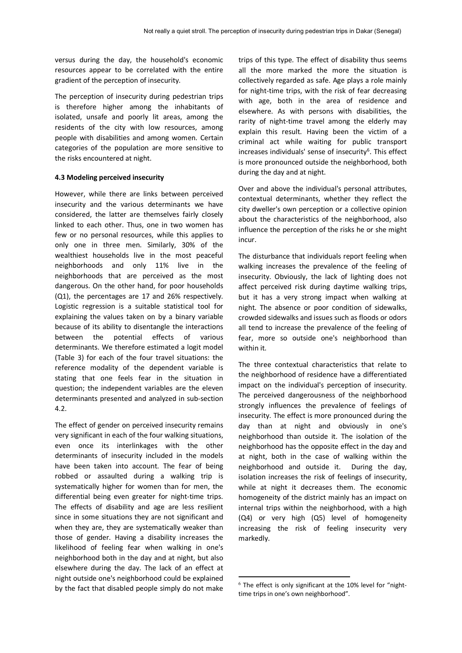versus during the day, the household's economic resources appear to be correlated with the entire gradient of the perception of insecurity.

The perception of insecurity during pedestrian trips is therefore higher among the inhabitants of isolated, unsafe and poorly lit areas, among the residents of the city with low resources, among people with disabilities and among women. Certain categories of the population are more sensitive to the risks encountered at night.

#### **4.3 Modeling perceived insecurity**

However, while there are links between perceived insecurity and the various determinants we have considered, the latter are themselves fairly closely linked to each other. Thus, one in two women has few or no personal resources, while this applies to only one in three men. Similarly, 30% of the wealthiest households live in the most peaceful neighborhoods and only 11% live in the neighborhoods that are perceived as the most dangerous. On the other hand, for poor households (Q1), the percentages are 17 and 26% respectively. Logistic regression is a suitable statistical tool for explaining the values taken on by a binary variable because of its ability to disentangle the interactions between the potential effects of various determinants. We therefore estimated a logit model (Table 3) for each of the four travel situations: the reference modality of the dependent variable is stating that one feels fear in the situation in question; the independent variables are the eleven determinants presented and analyzed in sub-section 4.2.

<span id="page-9-0"></span>The effect of gender on perceived insecurity remains very significant in each of the four walking situations, even once its interlinkages with the other determinants of insecurity included in the models have been taken into account. The fear of being robbed or assaulted during a walking trip is systematically higher for women than for men, the differential being even greater for night-time trips. The effects of disability and age are less resilient since in some situations they are not significant and when they are, they are systematically weaker than those of gender. Having a disability increases the likelihood of feeling fear when walking in one's neighborhood both in the day and at night, but also elsewhere during the day. The lack of an effect at night outside one's neighborhood could be explained by the fact that disabled people simply do not make

trips of this type. The effect of disability thus seems all the more marked the more the situation is collectively regarded as safe. Age plays a role mainly for night-time trips, with the risk of fear decreasing with age, both in the area of residence and elsewhere. As with persons with disabilities, the rarity of night-time travel among the elderly may explain this result. Having been the victim of a criminal act while waiting for public transport increases individuals' sense of insecurity<sup>[6](#page-9-0)</sup>. This effect is more pronounced outside the neighborhood, both during the day and at night.

Over and above the individual's personal attributes, contextual determinants, whether they reflect the city dweller's own perception or a collective opinion about the characteristics of the neighborhood, also influence the perception of the risks he or she might incur.

The disturbance that individuals report feeling when walking increases the prevalence of the feeling of insecurity. Obviously, the lack of lighting does not affect perceived risk during daytime walking trips, but it has a very strong impact when walking at night. The absence or poor condition of sidewalks, crowded sidewalks and issues such as floods or odors all tend to increase the prevalence of the feeling of fear, more so outside one's neighborhood than within it.

The three contextual characteristics that relate to the neighborhood of residence have a differentiated impact on the individual's perception of insecurity. The perceived dangerousness of the neighborhood strongly influences the prevalence of feelings of insecurity. The effect is more pronounced during the day than at night and obviously in one's neighborhood than outside it. The isolation of the neighborhood has the opposite effect in the day and at night, both in the case of walking within the neighborhood and outside it. During the day, isolation increases the risk of feelings of insecurity, while at night it decreases them. The economic homogeneity of the district mainly has an impact on internal trips within the neighborhood, with a high (Q4) or very high (Q5) level of homogeneity increasing the risk of feeling insecurity very markedly.

1

 $6$  The effect is only significant at the 10% level for "nighttime trips in one's own neighborhood".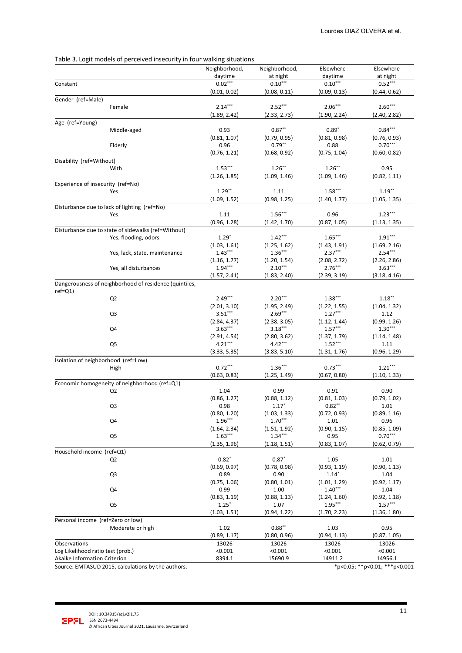|                                     | Table 3. Logit models of perceived insecurity in four walking situations |                         |                      |                         |                      |
|-------------------------------------|--------------------------------------------------------------------------|-------------------------|----------------------|-------------------------|----------------------|
|                                     |                                                                          | Neighborhood,           | Neighborhood,        | Elsewhere               | Elsewhere            |
|                                     |                                                                          | daytime                 | at night             | daytime                 | at night             |
| Constant                            |                                                                          | $0.02***$               | $0.10***$            | $0.10***$               | $0.52***$            |
|                                     |                                                                          | (0.01, 0.02)            | (0.08, 0.11)         | (0.09, 0.13)            | (0.44, 0.62)         |
| Gender (ref=Male)                   |                                                                          | $2.14***$               | $2.52***$            | $2.06***$               | $2.60***$            |
|                                     | Female                                                                   | (1.89, 2.42)            | (2.33, 2.73)         | (1.90, 2.24)            | (2.40, 2.82)         |
| Age (ref=Young)                     |                                                                          |                         |                      |                         |                      |
|                                     | Middle-aged                                                              | 0.93                    | $0.87**$             | $0.89*$                 | $0.84***$            |
|                                     |                                                                          | (0.81, 1.07)            | (0.79, 0.95)         | (0.81, 0.98)            | (0.76, 0.93)         |
|                                     | Elderly                                                                  | 0.96                    | $0.79**$             | 0.88                    | $0.70***$            |
|                                     |                                                                          | (0.76, 1.21)            | (0.68, 0.92)         | (0.75, 1.04)            | (0.60, 0.82)         |
| Disability (ref=Without)            |                                                                          |                         |                      |                         |                      |
|                                     | With                                                                     | $1.53***$               | $1.26**$             | $1.26***$               | 0.95                 |
|                                     |                                                                          | (1.26, 1.85)            | (1.09, 1.46)         | (1.09, 1.46)            | (0.82, 1.11)         |
| Experience of insecurity (ref=No)   |                                                                          |                         |                      |                         |                      |
|                                     | Yes                                                                      | $1.29$ **               | 1.11                 | $1.58***$               | $1.19***$            |
|                                     |                                                                          | (1.09, 1.52)            | (0.98, 1.25)         | (1.40, 1.77)            | (1.05, 1.35)         |
|                                     | Disturbance due to lack of lighting (ref=No)                             |                         |                      |                         |                      |
|                                     | Yes                                                                      | 1.11                    | $1.56***$            | 0.96                    | $1.23***$            |
|                                     |                                                                          | (0.96, 1.28)            | (1.42, 1.70)         | (0.87, 1.05)            | (1.13, 1.35)         |
|                                     | Disturbance due to state of sidewalks (ref=Without)                      |                         | $1.42***$            | $1.65***$               | $1.91***$            |
|                                     | Yes, flooding, odors                                                     | $1.29*$<br>(1.03, 1.61) | (1.25, 1.62)         | (1.43, 1.91)            | (1.69, 2.16)         |
|                                     | Yes, lack, state, maintenance                                            | $1.43***$               | $1.36***$            | $2.37***$               | $2.54***$            |
|                                     |                                                                          | (1.16, 1.77)            | (1.20, 1.54)         | (2.08, 2.72)            | (2.26, 2.86)         |
|                                     | Yes, all disturbances                                                    | $1.94***$               | $2.10***$            | $2.76***$               | $3.63***$            |
|                                     |                                                                          | (1.57, 2.41)            | (1.83, 2.40)         | (2.39, 3.19)            | (3.18, 4.16)         |
|                                     | Dangerousness of neighborhood of residence (quintiles,                   |                         |                      |                         |                      |
| $ref=Q1$                            |                                                                          |                         |                      |                         |                      |
|                                     | Q <sub>2</sub>                                                           | $2.49***$               | $2.20***$            | $1.38***$               | $1.18***$            |
|                                     |                                                                          | (2.01, 3.10)            | (1.95, 2.49)         | (1.22, 1.55)            | (1.04, 1.32)         |
|                                     | Q3                                                                       | $3.51***$               | $2.69***$            | $1.27***$               | 1.12                 |
|                                     |                                                                          | (2.84, 4.37)            | (2.38, 3.05)         | (1.12, 1.44)            | (0.99, 1.26)         |
|                                     | Q4                                                                       | $3.63***$               | $3.18***$            | $1.57***$               | $1.30***$            |
|                                     |                                                                          | (2.91, 4.54)            | (2.80, 3.62)         | (1.37, 1.79)            | (1.14, 1.48)         |
|                                     | Q5                                                                       | $4.21***$               | $4.42***$            | $1.52***$               | 1.11                 |
|                                     |                                                                          | (3.33, 5.35)            | (3.83, 5.10)         | (1.31, 1.76)            | (0.96, 1.29)         |
| Isolation of neighborhood (ref=Low) |                                                                          | $0.72***$               | $1.36***$            | $0.73***$               | $1.21***$            |
|                                     | High                                                                     | (0.63, 0.83)            | (1.25, 1.49)         | (0.67, 0.80)            | (1.10, 1.33)         |
|                                     | Economic homogeneity of neighborhood (ref=Q1)                            |                         |                      |                         |                      |
|                                     | Q2                                                                       | 1.04                    | 0.99                 | 0.91                    | 0.90                 |
|                                     |                                                                          | (0.86, 1.27)            | (0.88, 1.12)         | (0.81, 1.03)            | (0.79, 1.02)         |
|                                     | Q3                                                                       | 0.98                    | $1.17*$              | $0.82***$               | 1.01                 |
|                                     |                                                                          | (0.80, 1.20)            | (1.03, 1.33)         | (0.72, 0.93)            | (0.89, 1.16)         |
|                                     | Q4                                                                       | $1.96***$               | $1.70***$            | 1.01                    | 0.96                 |
|                                     |                                                                          | (1.64, 2.34)            | (1.51, 1.92)         | (0.90, 1.15)            | (0.85, 1.09)         |
|                                     | Q5                                                                       | $1.63***$               | $1.34***$            | 0.95                    | $0.70***$            |
|                                     |                                                                          | (1.35, 1.96)            | (1.18, 1.51)         | (0.83, 1.07)            | (0.62, 0.79)         |
| Household income (ref=Q1)           |                                                                          |                         |                      |                         |                      |
|                                     | Q2                                                                       | $0.82*$                 | $0.87*$              | 1.05                    | 1.01                 |
|                                     |                                                                          | (0.69, 0.97)            | (0.78, 0.98)         | (0.93, 1.19)            | (0.90, 1.13)         |
|                                     | Q3                                                                       | 0.89<br>(0.75, 1.06)    | 0.90<br>(0.80, 1.01) | $1.14*$<br>(1.01, 1.29) | 1.04<br>(0.92, 1.17) |
|                                     | Q4                                                                       | 0.99                    | 1.00                 | $1.40***$               | 1.04                 |
|                                     |                                                                          | (0.83, 1.19)            | (0.88, 1.13)         | (1.24, 1.60)            | (0.92, 1.18)         |
|                                     | Q5                                                                       | $1.25*$                 | 1.07                 | $1.95***$               | $1.57***$            |
|                                     |                                                                          | (1.03, 1.51)            | (0.94, 1.22)         | (1.70, 2.23)            | (1.36, 1.80)         |
| Personal income (ref=Zero or low)   |                                                                          |                         |                      |                         |                      |
|                                     | Moderate or high                                                         | 1.02                    | $0.88***$            | 1.03                    | 0.95                 |
|                                     |                                                                          | (0.89, 1.17)            | (0.80, 0.96)         | (0.94, 1.13)            | (0.87, 1.05)         |
| Observations                        |                                                                          | 13026                   | 13026                | 13026                   | 13026                |
| Log Likelihood ratio test (prob.)   |                                                                          | < 0.001                 | < 0.001              | < 0.001                 | < 0.001              |
| Akaike Information Criterion        |                                                                          | 8394.1                  | 15690.9              | 14911.2                 | 14956.1              |

## Table 3. Logit models of perceived insecurity in four walking situations

Source: EMTASUD 2015, calculations by the authors. \*\*\* p<0.05; \*\* p<0.05; \*\* p<0.01; \*\*\* p<0.001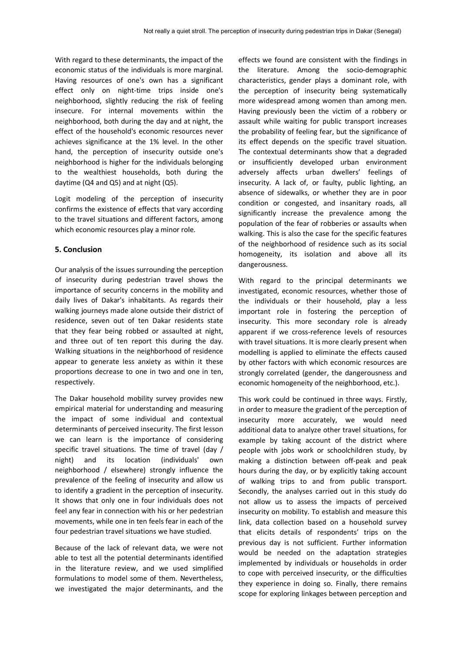With regard to these determinants, the impact of the economic status of the individuals is more marginal. Having resources of one's own has a significant effect only on night-time trips inside one's neighborhood, slightly reducing the risk of feeling insecure. For internal movements within the neighborhood, both during the day and at night, the effect of the household's economic resources never achieves significance at the 1% level. In the other hand, the perception of insecurity outside one's neighborhood is higher for the individuals belonging to the wealthiest households, both during the daytime (Q4 and Q5) and at night (Q5).

Logit modeling of the perception of insecurity confirms the existence of effects that vary according to the travel situations and different factors, among which economic resources play a minor role.

#### **5. Conclusion**

Our analysis of the issues surrounding the perception of insecurity during pedestrian travel shows the importance of security concerns in the mobility and daily lives of Dakar's inhabitants. As regards their walking journeys made alone outside their district of residence, seven out of ten Dakar residents state that they fear being robbed or assaulted at night, and three out of ten report this during the day. Walking situations in the neighborhood of residence appear to generate less anxiety as within it these proportions decrease to one in two and one in ten, respectively.

The Dakar household mobility survey provides new empirical material for understanding and measuring the impact of some individual and contextual determinants of perceived insecurity. The first lesson we can learn is the importance of considering specific travel situations. The time of travel (day / night) and its location (individuals' own neighborhood / elsewhere) strongly influence the prevalence of the feeling of insecurity and allow us to identify a gradient in the perception of insecurity. It shows that only one in four individuals does not feel any fear in connection with his or her pedestrian movements, while one in ten feels fear in each of the four pedestrian travel situations we have studied.

Because of the lack of relevant data, we were not able to test all the potential determinants identified in the literature review, and we used simplified formulations to model some of them. Nevertheless, we investigated the major determinants, and the effects we found are consistent with the findings in the literature. Among the socio-demographic characteristics, gender plays a dominant role, with the perception of insecurity being systematically more widespread among women than among men. Having previously been the victim of a robbery or assault while waiting for public transport increases the probability of feeling fear, but the significance of its effect depends on the specific travel situation. The contextual determinants show that a degraded or insufficiently developed urban environment adversely affects urban dwellers' feelings of insecurity. A lack of, or faulty, public lighting, an absence of sidewalks, or whether they are in poor condition or congested, and insanitary roads, all significantly increase the prevalence among the population of the fear of robberies or assaults when walking. This is also the case for the specific features of the neighborhood of residence such as its social homogeneity, its isolation and above all its dangerousness.

With regard to the principal determinants we investigated, economic resources, whether those of the individuals or their household, play a less important role in fostering the perception of insecurity. This more secondary role is already apparent if we cross-reference levels of resources with travel situations. It is more clearly present when modelling is applied to eliminate the effects caused by other factors with which economic resources are strongly correlated (gender, the dangerousness and economic homogeneity of the neighborhood, etc.).

This work could be continued in three ways. Firstly, in order to measure the gradient of the perception of insecurity more accurately, we would need additional data to analyze other travel situations, for example by taking account of the district where people with jobs work or schoolchildren study, by making a distinction between off-peak and peak hours during the day, or by explicitly taking account of walking trips to and from public transport. Secondly, the analyses carried out in this study do not allow us to assess the impacts of perceived insecurity on mobility. To establish and measure this link, data collection based on a household survey that elicits details of respondents' trips on the previous day is not sufficient. Further information would be needed on the adaptation strategies implemented by individuals or households in order to cope with perceived insecurity, or the difficulties they experience in doing so. Finally, there remains scope for exploring linkages between perception and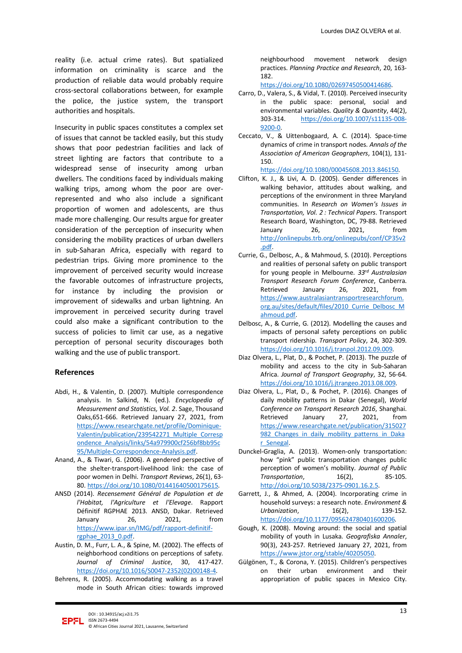reality (i.e. actual crime rates). But spatialized information on criminality is scarce and the production of reliable data would probably require cross-sectoral collaborations between, for example the police, the justice system, the transport authorities and hospitals.

Insecurity in public spaces constitutes a complex set of issues that cannot be tackled easily, but this study shows that poor pedestrian facilities and lack of street lighting are factors that contribute to a widespread sense of insecurity among urban dwellers. The conditions faced by individuals making walking trips, among whom the poor are overrepresented and who also include a significant proportion of women and adolescents, are thus made more challenging. Our results argue for greater consideration of the perception of insecurity when considering the mobility practices of urban dwellers in sub-Saharan Africa, especially with regard to pedestrian trips. Giving more prominence to the improvement of perceived security would increase the favorable outcomes of infrastructure projects, for instance by including the provision or improvement of sidewalks and urban lightning. An improvement in perceived security during travel could also make a significant contribution to the success of policies to limit car use, as a negative perception of personal security discourages both walking and the use of public transport.

### **References**

- Abdi, H., & Valentin, D. (2007). Multiple correspondence analysis. In Salkind, N. (ed.). *Encyclopedia of Measurement and Statistics, Vol. 2*. Sage, Thousand Oaks,651-666. Retrieved January 27, 2021, from [https://www.researchgate.net/profile/Dominique-](https://www.researchgate.net/profile/Dominique-Valentin/publication/239542271_Multiple_Correspondence_Analysis/links/54a979900cf256bf8bb95c95/Multiple-Correspondence-Analysis.pdf)[Valentin/publication/239542271\\_Multiple\\_Corresp](https://www.researchgate.net/profile/Dominique-Valentin/publication/239542271_Multiple_Correspondence_Analysis/links/54a979900cf256bf8bb95c95/Multiple-Correspondence-Analysis.pdf) [ondence\\_Analysis/links/54a979900cf256bf8bb95c](https://www.researchgate.net/profile/Dominique-Valentin/publication/239542271_Multiple_Correspondence_Analysis/links/54a979900cf256bf8bb95c95/Multiple-Correspondence-Analysis.pdf) [95/Multiple-Correspondence-Analysis.pdf.](https://www.researchgate.net/profile/Dominique-Valentin/publication/239542271_Multiple_Correspondence_Analysis/links/54a979900cf256bf8bb95c95/Multiple-Correspondence-Analysis.pdf)
- Anand, A., & Tiwari, G. (2006). A gendered perspective of the shelter-transport-livelihood link: the case of poor women in Delhi. *Transport Reviews*, 26(1), 63- 80[. https://doi.org/10.1080/01441640500175615.](https://doi.org/10.1080/01441640500175615)
- ANSD (2014). *Recensement Général de Population et de l'Habitat, l'Agriculture et l'Elevage*. Rapport Définitif RGPHAE 2013. ANSD, Dakar. Retrieved January 26, 2021, from [https://www.ipar.sn/IMG/pdf/rapport-definitif](https://www.ipar.sn/IMG/pdf/rapport-definitif-rgphae_2013_0.pdf)[rgphae\\_2013\\_0.pdf.](https://www.ipar.sn/IMG/pdf/rapport-definitif-rgphae_2013_0.pdf)
- Austin, D. M., Furr, L. A., & Spine, M. (2002). The effects of neighborhood conditions on perceptions of safety. *Journal of Criminal Justice*, 30, 417-427. [https://doi.org/10.1016/S0047-2352\(02\)00148-4.](https://doi.org/10.1016/S0047-2352(02)00148-4)
- Behrens, R. (2005). Accommodating walking as a travel mode in South African cities: towards improved

neighbourhood movement network design practices. *Planning Practice and Research*, 20, 163- 182.

[https://doi.org/10.1080/02697450500414686.](https://doi.org/10.1080/02697450500414686)

- Carro, D., Valera, S., & Vidal, T. (2010). Perceived insecurity in the public space: personal, social and environmental variables. *Quality & Quantity*, 44(2), 303-314. [https://doi.org/10.1007/s11135-008-](https://psycnet.apa.org/doi/10.1007/s11135-008-9200-0) [9200-0.](https://psycnet.apa.org/doi/10.1007/s11135-008-9200-0)
- Ceccato, V., & Uittenbogaard, A. C. (2014). Space-time dynamics of crime in transport nodes. *Annals of the Association of American Geographers*, 104(1), 131- 150.

[https://doi.org/10.1080/00045608.2013.846150.](https://doi.org/10.1080/00045608.2013.846150)

- Clifton, K. J., & Livi, A. D. (2005). Gender differences in walking behavior, attitudes about walking, and perceptions of the environment in three Maryland communities. In *Research on Women's Issues in Transportation, Vol. 2 : Technical Papers*. Transport Research Board, Washington, DC, 79-88. Retrieved January 26, 2021, from [http://onlinepubs.trb.org/onlinepubs/conf/CP35v2](http://onlinepubs.trb.org/onlinepubs/conf/CP35v2.pdf) [.pdf.](http://onlinepubs.trb.org/onlinepubs/conf/CP35v2.pdf)
- Currie, G., Delbosc, A., & Mahmoud, S. (2010). Perceptions and realities of personal safety on public transport for young people in Melbourne. *33rd Australasian Transport Research Forum Conference*, Canberra. Retrieved January 26, 2021, from [https://www.australasiantransportresearchforum.](https://www.australasiantransportresearchforum.org.au/sites/default/files/2010_Currie_Delbosc_Mahmoud.pdf) [org.au/sites/default/files/2010\\_Currie\\_Delbosc\\_M](https://www.australasiantransportresearchforum.org.au/sites/default/files/2010_Currie_Delbosc_Mahmoud.pdf) [ahmoud.pdf.](https://www.australasiantransportresearchforum.org.au/sites/default/files/2010_Currie_Delbosc_Mahmoud.pdf)
- Delbosc, A., & Currie, G. (2012). Modelling the causes and impacts of personal safety perceptions on public transport ridership. *Transport Policy*, 24, 302-309. [https://doi.org/10.1016/j.tranpol.2012.09.009.](https://doi.org/10.1016/j.tranpol.2012.09.009)
- Diaz Olvera, L., Plat, D., & Pochet, P. (2013). The puzzle of mobility and access to the city in Sub-Saharan Africa. *Journal of Transport Geography*, 32, 56-64. [https://doi.org/10.1016/j.jtrangeo.2013.08.009.](https://doi.org/10.1016/j.jtrangeo.2013.08.009)
- Diaz Olvera, L., Plat, D., & Pochet, P. (2016). Changes of daily mobility patterns in Dakar (Senegal), *World Conference on Transport Research 2016*, Shanghai. Retrieved January 27, 2021, from [https://www.researchgate.net/publication/315027](https://www.researchgate.net/publication/315027982_Changes_in_daily_mobility_patterns_in_Dakar_Senegal) 982 Changes in daily mobility patterns in Daka [r\\_Senegal.](https://www.researchgate.net/publication/315027982_Changes_in_daily_mobility_patterns_in_Dakar_Senegal)
- Dunckel-Graglia, A. (2013). Women-only transportation: how "pink" public transportation changes public perception of women's mobility. *Journal of Public Transportation*, 16(2), 85-105. [http://doi.org/10.5038/2375-0901.16.2.5.](http://doi.org/10.5038/2375-0901.16.2.5)
- Garrett, J., & Ahmed, A. (2004). Incorporating crime in household surveys: a research note. *Environment & Urbanization*, 16(2), 139-152. [https://doi.org/10.1177/095624780401600206.](https://doi.org/10.1177%2F095624780401600206)
- Gough, K. (2008). Moving around: the social and spatial mobility of youth in Lusaka. *Geografiska Annaler*, 90(3), 243-257. Retrieved January 27, 2021, from [https://www.jstor.org/stable/40205050.](https://www.jstor.org/stable/40205050)
- Gülgönen, T., & Corona, Y. (2015). Children's perspectives on their urban environment and their appropriation of public spaces in Mexico City.

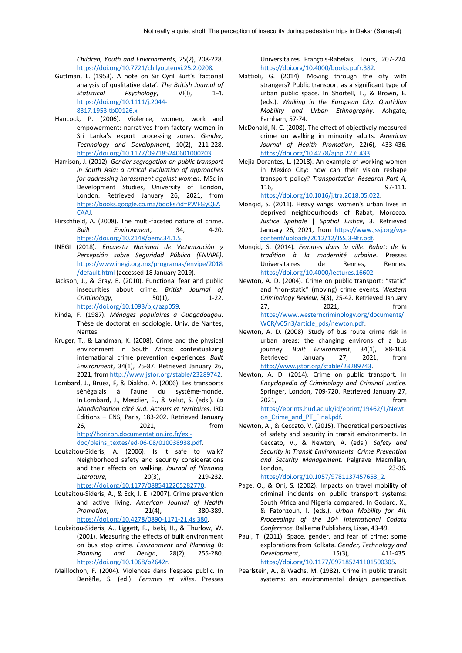*Children, Youth and Environments*, 25(2), 208-228. [https://doi.org/10.7721/chilyoutenvi.25.2.0208.](https://doi.org/10.7721/chilyoutenvi.25.2.0208)

- Guttman, L. (1953). A note on Sir Cyril Burt's 'factorial analysis of qualitative data'. *The British Journal of Statistical Psychology*, VI(I), 1-4. [https://doi.org/10.1111/j.2044-](https://doi.org/10.1111/j.2044-8317.1953.tb00126.x) [8317.1953.tb00126.x.](https://doi.org/10.1111/j.2044-8317.1953.tb00126.x)
- Hancock, P. (2006). Violence, women, work and empowerment: narratives from factory women in Sri Lanka's export processing zones. *Gender, Technology and Development*, 10(2), 211-228. [https://doi.org/10.1177/097185240601000203.](https://doi.org/10.1177/097185240601000203)
- Harrison, J. (2012). *Gender segregation on public transport in South Asia: a critical evaluation of approaches for addressing harassment against women*. MSc in Development Studies, University of London, London. Retrieved January 26, 2021, from [https://books.google.co.ma/books?id=PWFGyQEA](https://books.google.co.ma/books?id=PWFGyQEACAAJ) [CAAJ.](https://books.google.co.ma/books?id=PWFGyQEACAAJ)
- Hirschfield, A. (2008). The multi-faceted nature of crime. *Built Environment*, 34, 4-20. [https://doi.org/10.2148/benv.34.1.5.](https://doi.org/10.2148/benv.34.1.5)
- INEGI (2018). *Encuesta Nacional de Victimización y Percepción sobre Seguridad Pública (ENVIPE)*. [https://www.inegi.org.mx/programas/envipe/2018](https://www.inegi.org.mx/programas/envipe/2018/default.html) [/default.html](https://www.inegi.org.mx/programas/envipe/2018/default.html) (accessed 18 January 2019).
- Jackson, J., & Gray, E. (2010). Functional fear and public insecurities about crime. *British Journal of Criminology*, 50(1), 1-22. [https://doi.org/10.1093/bjc/azp059.](https://doi.org/10.1093/bjc/azp059)
- Kinda, F. (1987). *Ménages populaires à Ouagadougou*. Thèse de doctorat en sociologie. Univ. de Nantes, Nantes.
- Kruger, T., & Landman, K. (2008). Crime and the physical environment in South Africa: contextualizing international crime prevention experiences. *Built Environment*, 34(1), 75-87. Retrieved January 26, 2021, fro[m http://www.jstor.org/stable/23289742.](http://www.jstor.org/stable/23289742)
- Lombard, J., Bruez, F, & Diakho, A. (2006). Les transports sénégalais à l'aune du système-monde. In Lombard, J., Mesclier, E., & Velut, S. (eds.). *La Mondialisation côté Sud. Acteurs et territoires*. IRD Editions – ENS, Paris, 183-202. Retrieved January 26, 2021, from [http://horizon.documentation.ird.fr/exl](http://horizon.documentation.ird.fr/exl-doc/pleins_textes/ed-06-08/010038938.pdf)[doc/pleins\\_textes/ed-06-08/010038938.pdf.](http://horizon.documentation.ird.fr/exl-doc/pleins_textes/ed-06-08/010038938.pdf)
- Loukaitou-Sideris, A. (2006). Is it safe to walk? Neighborhood safety and security considerations and their effects on walking. *Journal of Planning Literature*, 20(3), 219-232. [https://doi.org/10.1177/0885412205282770.](https://doi.org/10.1177%2F0885412205282770)
- Loukaitou-Sideris, A., & Eck, J. E. (2007). Crime prevention and active living. *American Journal of Health Promotion*, 21(4), 380-389. [https://doi.org/10.4278/0890-1171-21.4s.380.](https://doi.org/10.4278%2F0890-1171-21.4s.380)
- Loukaitou-Sideris, A., Liggett, R., Iseki, H., & Thurlow, W. (2001). Measuring the effects of built environment on bus stop crime. *Environment and Planning B: Planning and Design*, 28(2), 255-280. [https://doi.org/10.1068/b2642r.](https://doi.org/10.1068%2Fb2642r)
- Maillochon, F. (2004). Violences dans l'espace public. In Denèfle, S. (ed.). *Femmes et villes*. Presses

Universitaires François-Rabelais, Tours, 207-224. [https://doi.org/10.4000/books.pufr.382.](https://doi.org/10.4000/books.pufr.382)

- Mattioli, G. (2014). Moving through the city with strangers? Public transport as a significant type of urban public space. In Shortell, T., & Brown, E. (eds.). *Walking in the European City. Quotidian Mobility and Urban Ethnography*. Ashgate, Farnham, 57-74.
- McDonald, N. C. (2008). The effect of objectively measured crime on walking in minority adults. *American Journal of Health Promotion*, 22(6), 433-436. [https://doi.org/10.4278/ajhp.22.6.433.](https://doi.org/10.4278%2Fajhp.22.6.433)
- Mejia-Dorantes, L. (2018). An example of working women in Mexico City: how can their vision reshape transport policy? *Transportation Research Part A*, 116, 97-111.

[https://doi.org/10.1016/j.tra.2018.05.022.](https://doi.org/10.1016/j.tra.2018.05.022)

- Monqid, S. (2011). Heavy wings: women's urban lives in deprived neighbourhoods of Rabat, Morocco. *Justice Spatiale* | *Spatial Justice*, 3. Retrieved January 26, 2021, from [https://www.jssj.org/wp](https://www.jssj.org/wp-content/uploads/2012/12/JSSJ3-9fr.pdf)[content/uploads/2012/12/JSSJ3-9fr.pdf.](https://www.jssj.org/wp-content/uploads/2012/12/JSSJ3-9fr.pdf)
- Monqid, S. (2014). *Femmes dans la ville. Rabat: de la tradition à la modernité urbaine*. Presses Universitaires de Rennes, Rennes. [https://doi.org/10.4000/lectures.16602.](https://doi.org/10.4000/lectures.16602)
- Newton, A. D. (2004). Crime on public transport: "static" and "non-static" (moving) crime events. *Western Criminology Review*, 5(3), 25-42. Retrieved January 27, 2021, from [https://www.westerncriminology.org/documents/](https://www.westerncriminology.org/documents/WCR/v05n3/article_pds/newton.pdf) [WCR/v05n3/article\\_pds/newton.pdf.](https://www.westerncriminology.org/documents/WCR/v05n3/article_pds/newton.pdf)
- Newton, A. D. (2008). Study of bus route crime risk in urban areas: the changing environs of a bus journey. *Built Environment*, 34(1), 88-103. Retrieved January 27, 2021, from [http://www.jstor.org/stable/23289743.](http://www.jstor.org/stable/23289743)
- Newton, A. D. (2014). Crime on public transport. In *Encyclopedia of Criminology and Criminal Justice*. Springer, London, 709-720. Retrieved January 27, 2021, from [https://eprints.hud.ac.uk/id/eprint/19462/1/Newt](https://eprints.hud.ac.uk/id/eprint/19462/1/Newton_Crime_and_PT_Final.pdf) on Crime and PT Final.pdf.
- Newton, A., & Ceccato, V. (2015). Theoretical perspectives of safety and security in transit environments. In Ceccato, V., & Newton, A. (eds.). *Safety and Security in Transit Environments. Crime Prevention and Security Management.* Palgrave Macmillan, London, 23-36. [https://doi.org/10.1057/9781137457653\\_2.](https://doi.org/10.1057/9781137457653_2)
- Page, O., & Oni, S. (2002). Impacts on travel mobility of criminal incidents on public transport systems: South Africa and Nigeria compared. In Godard, X., & Fatonzoun, I. (eds.). *Urban Mobility for All. Proceedings of the 10th International Codatu Conference*. Balkema Publishers, Lisse, 43-49.
- Paul, T. (2011). Space, gender, and fear of crime: some explorations from Kolkata. *Gender, Technology and Development*, 15(3), 411-435. [https://doi.org/10.1177/097185241101500305.](https://doi.org/10.1177%2F097185241101500305)
- Pearlstein, A., & Wachs, M. (1982). Crime in public transit systems: an environmental design perspective.